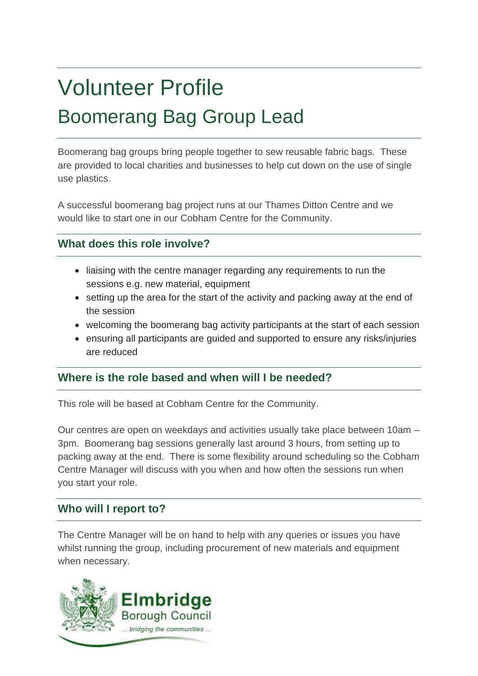# Volunteer Profile Boomerang Bag Group Lead

Boomerang bag groups bring people together to sew reusable fabric bags. These are provided to local charities and businesses to help cut down on the use of single use plastics.

A successful boomerang bag project runs at our Thames Ditton Centre and we would like to start one in our Cobham Centre for the Community.

# **What does this role involve?**

- liaising with the centre manager regarding any requirements to run the sessions e.g. new material, equipment
- setting up the area for the start of the activity and packing away at the end of the session
- welcoming the boomerang bag activity participants at the start of each session
- ensuring all participants are guided and supported to ensure any risks/injuries are reduced

# **Where is the role based and when will I be needed?**

This role will be based at Cobham Centre for the Community.

Our centres are open on weekdays and activities usually take place between 10am – 3pm. Boomerang bag sessions generally last around 3 hours, from setting up to packing away at the end. There is some flexibility around scheduling so the Cobham Centre Manager will discuss with you when and how often the sessions run when you start your role.

# **Who will I report to?**

The Centre Manager will be on hand to help with any queries or issues you have whilst running the group, including procurement of new materials and equipment when necessary.